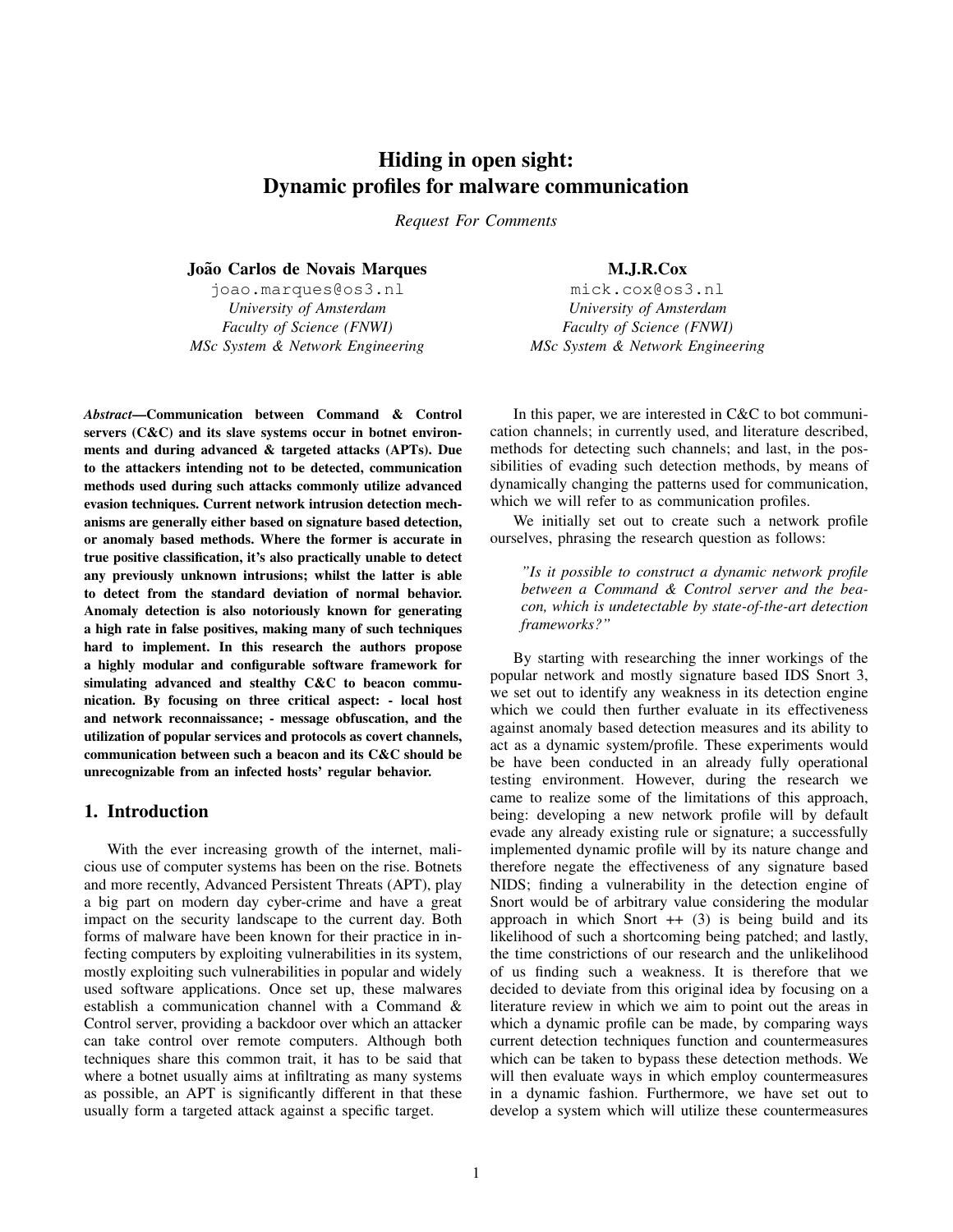## Hiding in open sight: Dynamic profiles for malware communication

*Request For Comments*

João Carlos de Novais Marques

joao.marques@os3.nl *University of Amsterdam Faculty of Science (FNWI) MSc System & Network Engineering*

*Abstract*—Communication between Command & Control servers (C&C) and its slave systems occur in botnet environments and during advanced & targeted attacks (APTs). Due to the attackers intending not to be detected, communication methods used during such attacks commonly utilize advanced evasion techniques. Current network intrusion detection mechanisms are generally either based on signature based detection, or anomaly based methods. Where the former is accurate in true positive classification, it's also practically unable to detect any previously unknown intrusions; whilst the latter is able to detect from the standard deviation of normal behavior. Anomaly detection is also notoriously known for generating a high rate in false positives, making many of such techniques hard to implement. In this research the authors propose a highly modular and configurable software framework for simulating advanced and stealthy C&C to beacon communication. By focusing on three critical aspect: - local host and network reconnaissance; - message obfuscation, and the utilization of popular services and protocols as covert channels, communication between such a beacon and its C&C should be unrecognizable from an infected hosts' regular behavior.

## 1. Introduction

With the ever increasing growth of the internet, malicious use of computer systems has been on the rise. Botnets and more recently, Advanced Persistent Threats (APT), play a big part on modern day cyber-crime and have a great impact on the security landscape to the current day. Both forms of malware have been known for their practice in infecting computers by exploiting vulnerabilities in its system, mostly exploiting such vulnerabilities in popular and widely used software applications. Once set up, these malwares establish a communication channel with a Command & Control server, providing a backdoor over which an attacker can take control over remote computers. Although both techniques share this common trait, it has to be said that where a botnet usually aims at infiltrating as many systems as possible, an APT is significantly different in that these usually form a targeted attack against a specific target.

M.J.R.Cox

mick.cox@os3.nl *University of Amsterdam Faculty of Science (FNWI) MSc System & Network Engineering*

In this paper, we are interested in C&C to bot communication channels; in currently used, and literature described, methods for detecting such channels; and last, in the possibilities of evading such detection methods, by means of dynamically changing the patterns used for communication, which we will refer to as communication profiles.

We initially set out to create such a network profile ourselves, phrasing the research question as follows:

*"Is it possible to construct a dynamic network profile between a Command & Control server and the beacon, which is undetectable by state-of-the-art detection frameworks?"*

By starting with researching the inner workings of the popular network and mostly signature based IDS Snort 3, we set out to identify any weakness in its detection engine which we could then further evaluate in its effectiveness against anomaly based detection measures and its ability to act as a dynamic system/profile. These experiments would be have been conducted in an already fully operational testing environment. However, during the research we came to realize some of the limitations of this approach, being: developing a new network profile will by default evade any already existing rule or signature; a successfully implemented dynamic profile will by its nature change and therefore negate the effectiveness of any signature based NIDS; finding a vulnerability in the detection engine of Snort would be of arbitrary value considering the modular approach in which Snort  $++$  (3) is being build and its likelihood of such a shortcoming being patched; and lastly, the time constrictions of our research and the unlikelihood of us finding such a weakness. It is therefore that we decided to deviate from this original idea by focusing on a literature review in which we aim to point out the areas in which a dynamic profile can be made, by comparing ways current detection techniques function and countermeasures which can be taken to bypass these detection methods. We will then evaluate ways in which employ countermeasures in a dynamic fashion. Furthermore, we have set out to develop a system which will utilize these countermeasures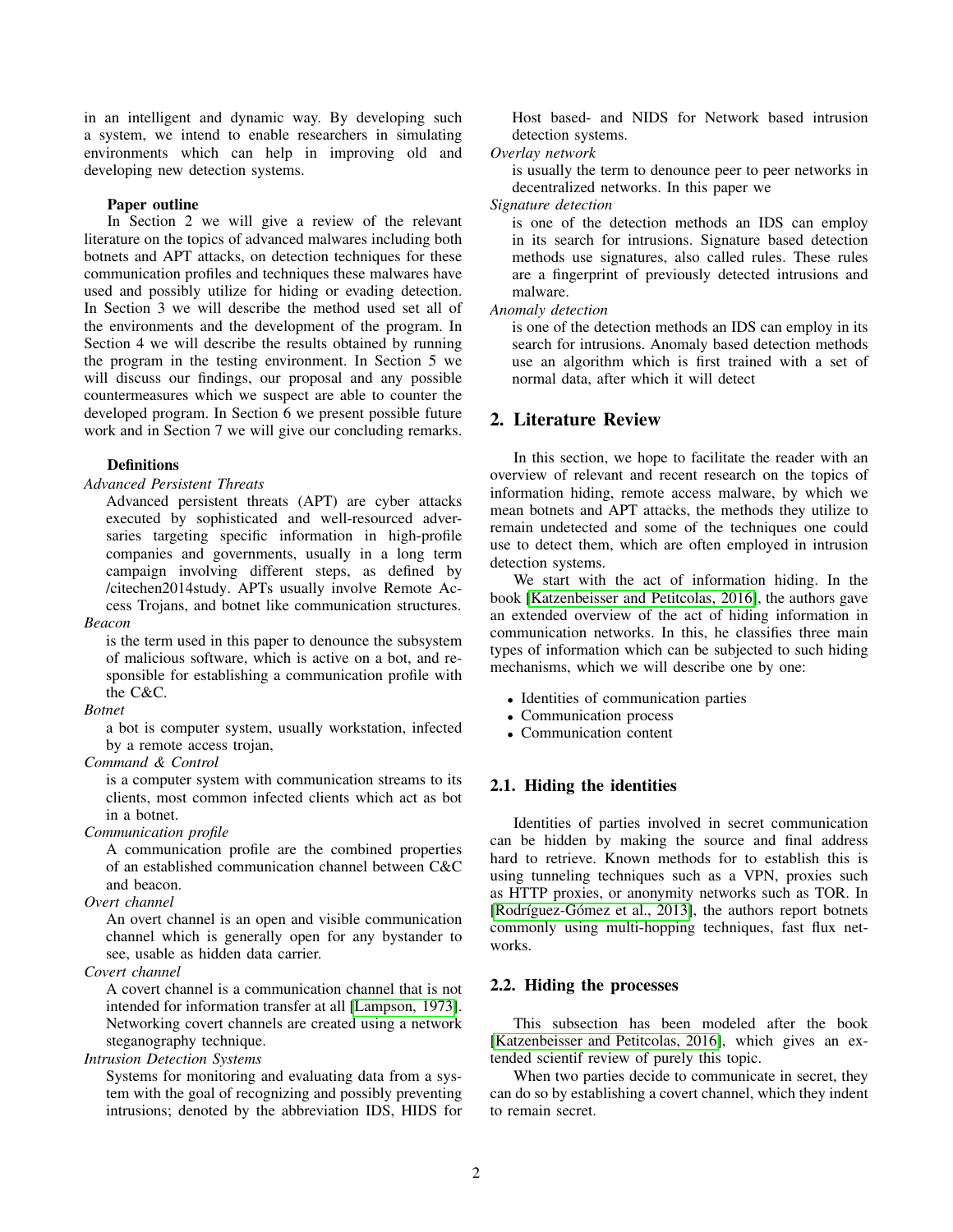in an intelligent and dynamic way. By developing such a system, we intend to enable researchers in simulating environments which can help in improving old and developing new detection systems.

#### Paper outline

In Section 2 we will give a review of the relevant literature on the topics of advanced malwares including both botnets and APT attacks, on detection techniques for these communication profiles and techniques these malwares have used and possibly utilize for hiding or evading detection. In Section 3 we will describe the method used set all of the environments and the development of the program. In Section 4 we will describe the results obtained by running the program in the testing environment. In Section 5 we will discuss our findings, our proposal and any possible countermeasures which we suspect are able to counter the developed program. In Section 6 we present possible future work and in Section 7 we will give our concluding remarks.

#### **Definitions**

#### *Advanced Persistent Threats*

Advanced persistent threats (APT) are cyber attacks executed by sophisticated and well-resourced adversaries targeting specific information in high-profile companies and governments, usually in a long term campaign involving different steps, as defined by /citechen2014study. APTs usually involve Remote Access Trojans, and botnet like communication structures.

## *Beacon*

is the term used in this paper to denounce the subsystem of malicious software, which is active on a bot, and responsible for establishing a communication profile with the C&C.

#### *Botnet*

a bot is computer system, usually workstation, infected by a remote access trojan,

## *Command & Control*

is a computer system with communication streams to its clients, most common infected clients which act as bot in a botnet.

#### *Communication profile*

A communication profile are the combined properties of an established communication channel between C&C and beacon.

#### *Overt channel*

An overt channel is an open and visible communication channel which is generally open for any bystander to see, usable as hidden data carrier.

## *Covert channel*

A covert channel is a communication channel that is not intended for information transfer at all [\[Lampson, 1973\]](#page-10-0). Networking covert channels are created using a network steganography technique.

## *Intrusion Detection Systems*

Systems for monitoring and evaluating data from a system with the goal of recognizing and possibly preventing intrusions; denoted by the abbreviation IDS, HIDS for Host based- and NIDS for Network based intrusion detection systems.

## *Overlay network*

is usually the term to denounce peer to peer networks in decentralized networks. In this paper we

## *Signature detection*

is one of the detection methods an IDS can employ in its search for intrusions. Signature based detection methods use signatures, also called rules. These rules are a fingerprint of previously detected intrusions and malware.

## *Anomaly detection*

is one of the detection methods an IDS can employ in its search for intrusions. Anomaly based detection methods use an algorithm which is first trained with a set of normal data, after which it will detect

## 2. Literature Review

In this section, we hope to facilitate the reader with an overview of relevant and recent research on the topics of information hiding, remote access malware, by which we mean botnets and APT attacks, the methods they utilize to remain undetected and some of the techniques one could use to detect them, which are often employed in intrusion detection systems.

We start with the act of information hiding. In the book [\[Katzenbeisser and Petitcolas, 2016\]](#page-9-0), the authors gave an extended overview of the act of hiding information in communication networks. In this, he classifies three main types of information which can be subjected to such hiding mechanisms, which we will describe one by one:

- Identities of communication parties
- Communication process
- Communication content

#### 2.1. Hiding the identities

Identities of parties involved in secret communication can be hidden by making the source and final address hard to retrieve. Known methods for to establish this is using tunneling techniques such as a VPN, proxies such as HTTP proxies, or anonymity networks such as TOR. In [Rodríguez-Gómez et al.,  $2013$ ], the authors report botnets commonly using multi-hopping techniques, fast flux networks.

#### 2.2. Hiding the processes

This subsection has been modeled after the book [\[Katzenbeisser and Petitcolas, 2016\]](#page-9-0), which gives an extended scientif review of purely this topic.

When two parties decide to communicate in secret, they can do so by establishing a covert channel, which they indent to remain secret.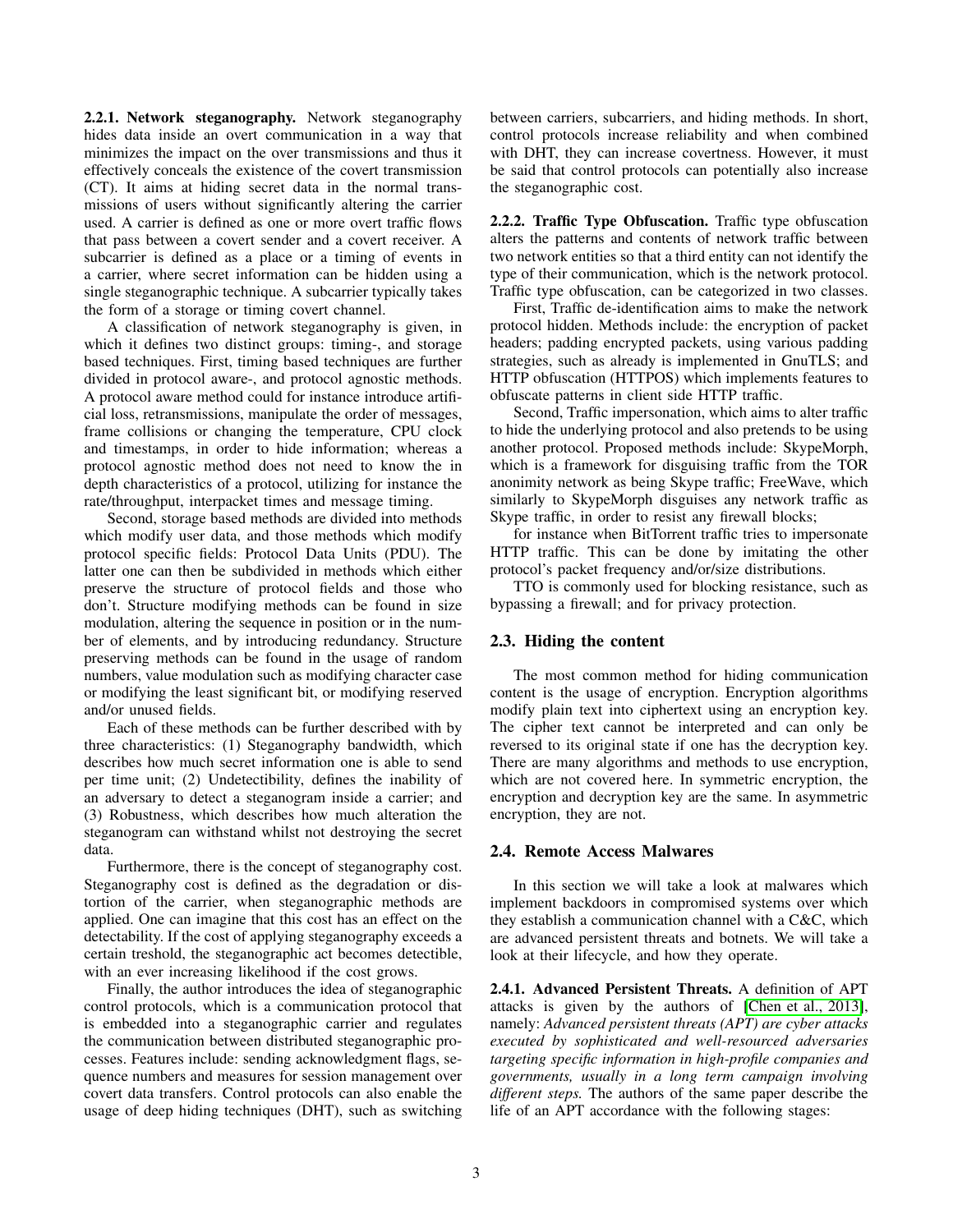2.2.1. Network steganography. Network steganography hides data inside an overt communication in a way that minimizes the impact on the over transmissions and thus it effectively conceals the existence of the covert transmission (CT). It aims at hiding secret data in the normal transmissions of users without significantly altering the carrier used. A carrier is defined as one or more overt traffic flows that pass between a covert sender and a covert receiver. A subcarrier is defined as a place or a timing of events in a carrier, where secret information can be hidden using a single steganographic technique. A subcarrier typically takes the form of a storage or timing covert channel.

A classification of network steganography is given, in which it defines two distinct groups: timing-, and storage based techniques. First, timing based techniques are further divided in protocol aware-, and protocol agnostic methods. A protocol aware method could for instance introduce artificial loss, retransmissions, manipulate the order of messages, frame collisions or changing the temperature, CPU clock and timestamps, in order to hide information; whereas a protocol agnostic method does not need to know the in depth characteristics of a protocol, utilizing for instance the rate/throughput, interpacket times and message timing.

Second, storage based methods are divided into methods which modify user data, and those methods which modify protocol specific fields: Protocol Data Units (PDU). The latter one can then be subdivided in methods which either preserve the structure of protocol fields and those who don't. Structure modifying methods can be found in size modulation, altering the sequence in position or in the number of elements, and by introducing redundancy. Structure preserving methods can be found in the usage of random numbers, value modulation such as modifying character case or modifying the least significant bit, or modifying reserved and/or unused fields.

Each of these methods can be further described with by three characteristics: (1) Steganography bandwidth, which describes how much secret information one is able to send per time unit; (2) Undetectibility, defines the inability of an adversary to detect a steganogram inside a carrier; and (3) Robustness, which describes how much alteration the steganogram can withstand whilst not destroying the secret data.

Furthermore, there is the concept of steganography cost. Steganography cost is defined as the degradation or distortion of the carrier, when steganographic methods are applied. One can imagine that this cost has an effect on the detectability. If the cost of applying steganography exceeds a certain treshold, the steganographic act becomes detectible, with an ever increasing likelihood if the cost grows.

Finally, the author introduces the idea of steganographic control protocols, which is a communication protocol that is embedded into a steganographic carrier and regulates the communication between distributed steganographic processes. Features include: sending acknowledgment flags, sequence numbers and measures for session management over covert data transfers. Control protocols can also enable the usage of deep hiding techniques (DHT), such as switching between carriers, subcarriers, and hiding methods. In short, control protocols increase reliability and when combined with DHT, they can increase covertness. However, it must be said that control protocols can potentially also increase the steganographic cost.

2.2.2. Traffic Type Obfuscation. Traffic type obfuscation alters the patterns and contents of network traffic between two network entities so that a third entity can not identify the type of their communication, which is the network protocol. Traffic type obfuscation, can be categorized in two classes.

First, Traffic de-identification aims to make the network protocol hidden. Methods include: the encryption of packet headers; padding encrypted packets, using various padding strategies, such as already is implemented in GnuTLS; and HTTP obfuscation (HTTPOS) which implements features to obfuscate patterns in client side HTTP traffic.

Second, Traffic impersonation, which aims to alter traffic to hide the underlying protocol and also pretends to be using another protocol. Proposed methods include: SkypeMorph, which is a framework for disguising traffic from the TOR anonimity network as being Skype traffic; FreeWave, which similarly to SkypeMorph disguises any network traffic as Skype traffic, in order to resist any firewall blocks;

for instance when BitTorrent traffic tries to impersonate HTTP traffic. This can be done by imitating the other protocol's packet frequency and/or/size distributions.

TTO is commonly used for blocking resistance, such as bypassing a firewall; and for privacy protection.

## 2.3. Hiding the content

The most common method for hiding communication content is the usage of encryption. Encryption algorithms modify plain text into ciphertext using an encryption key. The cipher text cannot be interpreted and can only be reversed to its original state if one has the decryption key. There are many algorithms and methods to use encryption, which are not covered here. In symmetric encryption, the encryption and decryption key are the same. In asymmetric encryption, they are not.

#### 2.4. Remote Access Malwares

In this section we will take a look at malwares which implement backdoors in compromised systems over which they establish a communication channel with a C&C, which are advanced persistent threats and botnets. We will take a look at their lifecycle, and how they operate.

2.4.1. Advanced Persistent Threats. A definition of APT attacks is given by the authors of [\[Chen et al., 2013\]](#page-9-1), namely: *Advanced persistent threats (APT) are cyber attacks executed by sophisticated and well-resourced adversaries targeting specific information in high-profile companies and governments, usually in a long term campaign involving different steps.* The authors of the same paper describe the life of an APT accordance with the following stages: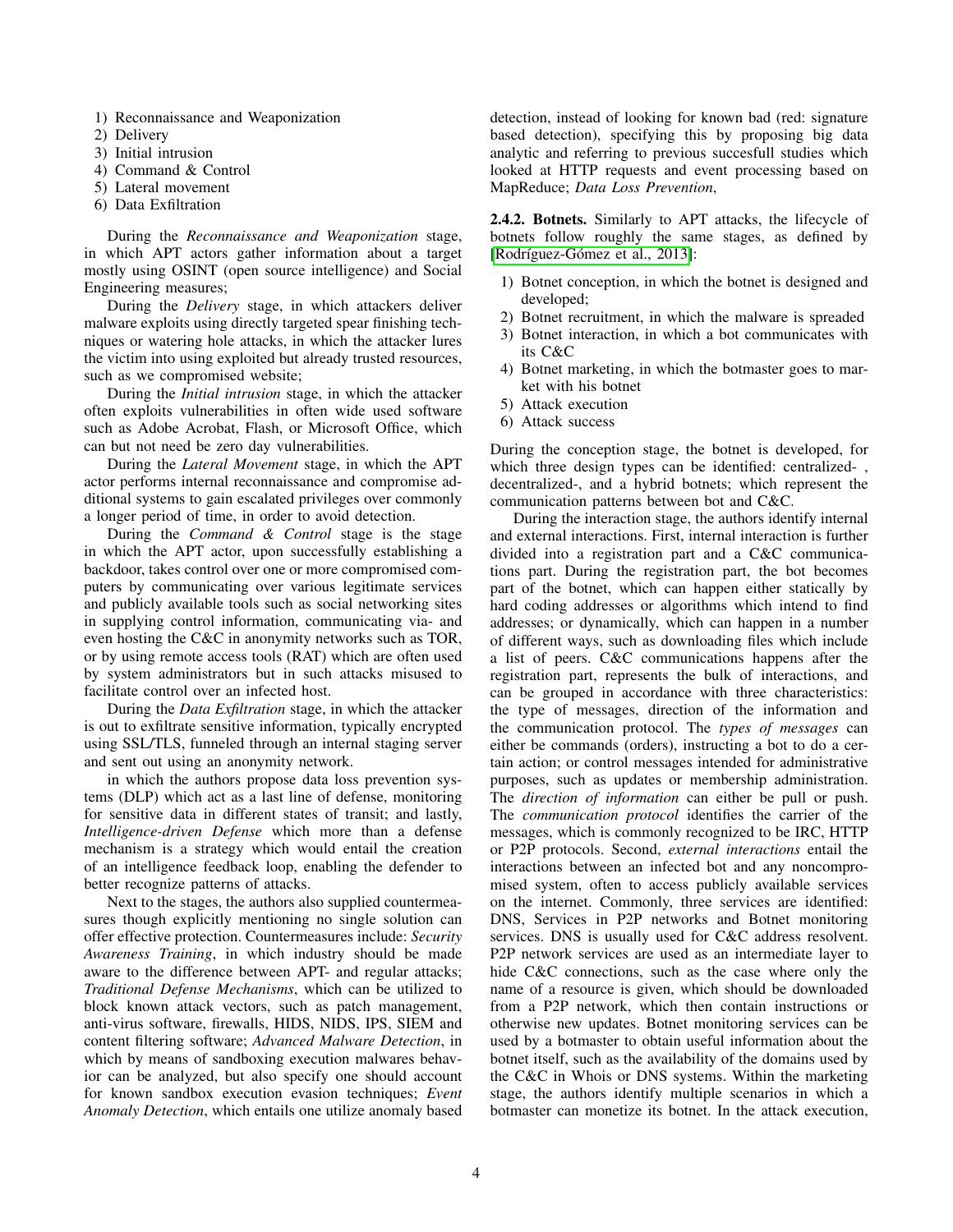- 1) Reconnaissance and Weaponization
- 2) Delivery
- 3) Initial intrusion
- 4) Command & Control
- 5) Lateral movement
- 6) Data Exfiltration

During the *Reconnaissance and Weaponization* stage, in which APT actors gather information about a target mostly using OSINT (open source intelligence) and Social Engineering measures;

During the *Delivery* stage, in which attackers deliver malware exploits using directly targeted spear finishing techniques or watering hole attacks, in which the attacker lures the victim into using exploited but already trusted resources, such as we compromised website;

During the *Initial intrusion* stage, in which the attacker often exploits vulnerabilities in often wide used software such as Adobe Acrobat, Flash, or Microsoft Office, which can but not need be zero day vulnerabilities.

During the *Lateral Movement* stage, in which the APT actor performs internal reconnaissance and compromise additional systems to gain escalated privileges over commonly a longer period of time, in order to avoid detection.

During the *Command & Control* stage is the stage in which the APT actor, upon successfully establishing a backdoor, takes control over one or more compromised computers by communicating over various legitimate services and publicly available tools such as social networking sites in supplying control information, communicating via- and even hosting the C&C in anonymity networks such as TOR, or by using remote access tools (RAT) which are often used by system administrators but in such attacks misused to facilitate control over an infected host.

During the *Data Exfiltration* stage, in which the attacker is out to exfiltrate sensitive information, typically encrypted using SSL/TLS, funneled through an internal staging server and sent out using an anonymity network.

in which the authors propose data loss prevention systems (DLP) which act as a last line of defense, monitoring for sensitive data in different states of transit; and lastly, *Intelligence-driven Defense* which more than a defense mechanism is a strategy which would entail the creation of an intelligence feedback loop, enabling the defender to better recognize patterns of attacks.

Next to the stages, the authors also supplied countermeasures though explicitly mentioning no single solution can offer effective protection. Countermeasures include: *Security Awareness Training*, in which industry should be made aware to the difference between APT- and regular attacks; *Traditional Defense Mechanisms*, which can be utilized to block known attack vectors, such as patch management, anti-virus software, firewalls, HIDS, NIDS, IPS, SIEM and content filtering software; *Advanced Malware Detection*, in which by means of sandboxing execution malwares behavior can be analyzed, but also specify one should account for known sandbox execution evasion techniques; *Event Anomaly Detection*, which entails one utilize anomaly based detection, instead of looking for known bad (red: signature based detection), specifying this by proposing big data analytic and referring to previous succesfull studies which looked at HTTP requests and event processing based on MapReduce; *Data Loss Prevention*,

2.4.2. Botnets. Similarly to APT attacks, the lifecycle of botnets follow roughly the same stages, as defined by [Rodríguez-Gómez et al., 2013]:

- 1) Botnet conception, in which the botnet is designed and developed;
- 2) Botnet recruitment, in which the malware is spreaded
- 3) Botnet interaction, in which a bot communicates with its C&C
- 4) Botnet marketing, in which the botmaster goes to market with his botnet
- 5) Attack execution
- 6) Attack success

During the conception stage, the botnet is developed, for which three design types can be identified: centralized-, decentralized-, and a hybrid botnets; which represent the communication patterns between bot and C&C.

During the interaction stage, the authors identify internal and external interactions. First, internal interaction is further divided into a registration part and a C&C communications part. During the registration part, the bot becomes part of the botnet, which can happen either statically by hard coding addresses or algorithms which intend to find addresses; or dynamically, which can happen in a number of different ways, such as downloading files which include a list of peers. C&C communications happens after the registration part, represents the bulk of interactions, and can be grouped in accordance with three characteristics: the type of messages, direction of the information and the communication protocol. The *types of messages* can either be commands (orders), instructing a bot to do a certain action; or control messages intended for administrative purposes, such as updates or membership administration. The *direction of information* can either be pull or push. The *communication protocol* identifies the carrier of the messages, which is commonly recognized to be IRC, HTTP or P2P protocols. Second, *external interactions* entail the interactions between an infected bot and any noncompromised system, often to access publicly available services on the internet. Commonly, three services are identified: DNS, Services in P2P networks and Botnet monitoring services. DNS is usually used for C&C address resolvent. P2P network services are used as an intermediate layer to hide C&C connections, such as the case where only the name of a resource is given, which should be downloaded from a P2P network, which then contain instructions or otherwise new updates. Botnet monitoring services can be used by a botmaster to obtain useful information about the botnet itself, such as the availability of the domains used by the C&C in Whois or DNS systems. Within the marketing stage, the authors identify multiple scenarios in which a botmaster can monetize its botnet. In the attack execution,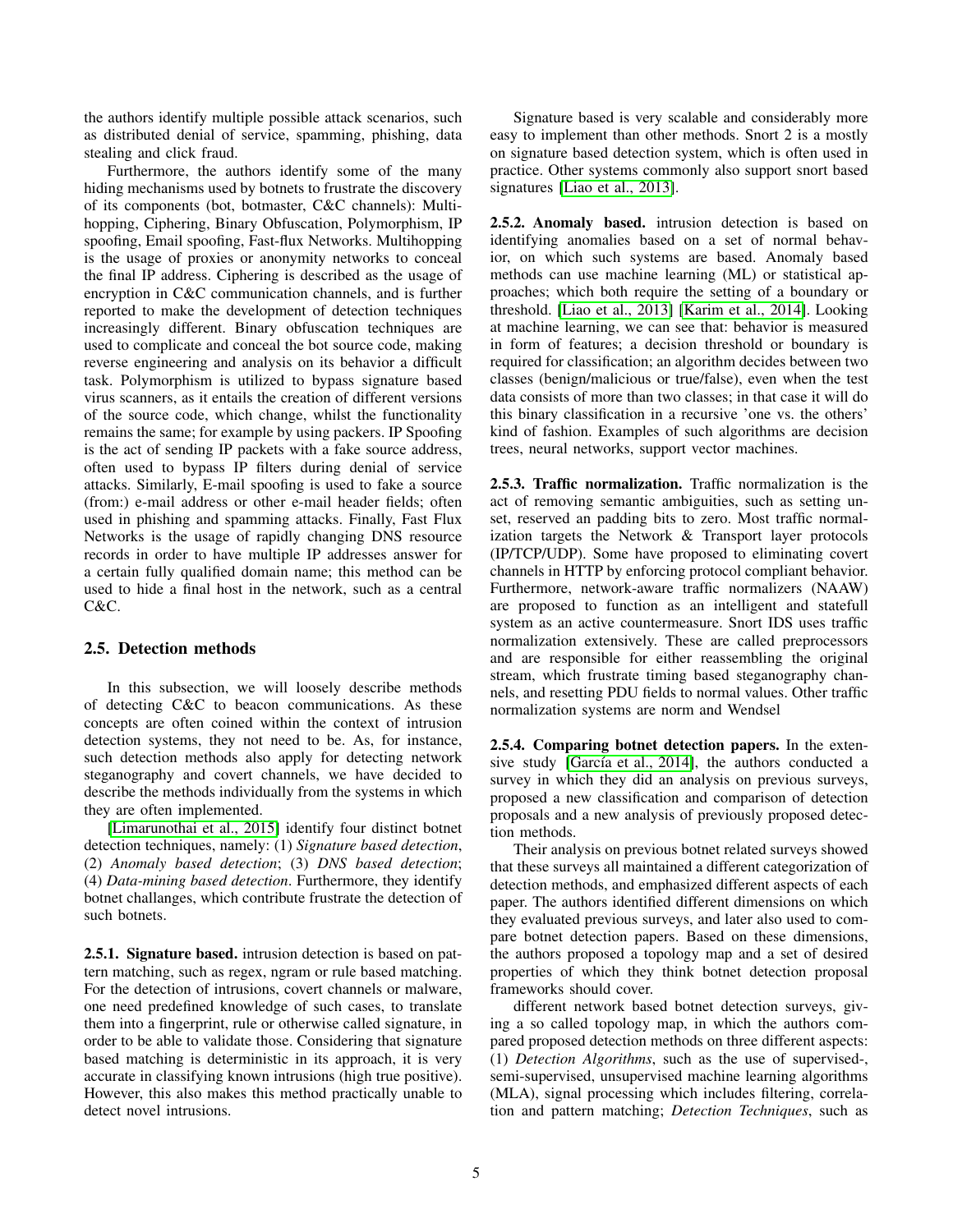the authors identify multiple possible attack scenarios, such as distributed denial of service, spamming, phishing, data stealing and click fraud.

Furthermore, the authors identify some of the many hiding mechanisms used by botnets to frustrate the discovery of its components (bot, botmaster, C&C channels): Multihopping, Ciphering, Binary Obfuscation, Polymorphism, IP spoofing, Email spoofing, Fast-flux Networks. Multihopping is the usage of proxies or anonymity networks to conceal the final IP address. Ciphering is described as the usage of encryption in C&C communication channels, and is further reported to make the development of detection techniques increasingly different. Binary obfuscation techniques are used to complicate and conceal the bot source code, making reverse engineering and analysis on its behavior a difficult task. Polymorphism is utilized to bypass signature based virus scanners, as it entails the creation of different versions of the source code, which change, whilst the functionality remains the same; for example by using packers. IP Spoofing is the act of sending IP packets with a fake source address, often used to bypass IP filters during denial of service attacks. Similarly, E-mail spoofing is used to fake a source (from:) e-mail address or other e-mail header fields; often used in phishing and spamming attacks. Finally, Fast Flux Networks is the usage of rapidly changing DNS resource records in order to have multiple IP addresses answer for a certain fully qualified domain name; this method can be used to hide a final host in the network, such as a central  $C\&C$ 

#### 2.5. Detection methods

In this subsection, we will loosely describe methods of detecting C&C to beacon communications. As these concepts are often coined within the context of intrusion detection systems, they not need to be. As, for instance, such detection methods also apply for detecting network steganography and covert channels, we have decided to describe the methods individually from the systems in which they are often implemented.

[\[Limarunothai et al., 2015\]](#page-10-2) identify four distinct botnet detection techniques, namely: (1) *Signature based detection*, (2) *Anomaly based detection*; (3) *DNS based detection*; (4) *Data-mining based detection*. Furthermore, they identify botnet challanges, which contribute frustrate the detection of such botnets.

2.5.1. Signature based. intrusion detection is based on pattern matching, such as regex, ngram or rule based matching. For the detection of intrusions, covert channels or malware, one need predefined knowledge of such cases, to translate them into a fingerprint, rule or otherwise called signature, in order to be able to validate those. Considering that signature based matching is deterministic in its approach, it is very accurate in classifying known intrusions (high true positive). However, this also makes this method practically unable to detect novel intrusions.

Signature based is very scalable and considerably more easy to implement than other methods. Snort 2 is a mostly on signature based detection system, which is often used in practice. Other systems commonly also support snort based signatures [\[Liao et al., 2013\]](#page-10-3).

2.5.2. Anomaly based. intrusion detection is based on identifying anomalies based on a set of normal behavior, on which such systems are based. Anomaly based methods can use machine learning (ML) or statistical approaches; which both require the setting of a boundary or threshold. [\[Liao et al., 2013\]](#page-10-3) [\[Karim et al., 2014\]](#page-9-2). Looking at machine learning, we can see that: behavior is measured in form of features; a decision threshold or boundary is required for classification; an algorithm decides between two classes (benign/malicious or true/false), even when the test data consists of more than two classes; in that case it will do this binary classification in a recursive 'one vs. the others' kind of fashion. Examples of such algorithms are decision trees, neural networks, support vector machines.

2.5.3. Traffic normalization. Traffic normalization is the act of removing semantic ambiguities, such as setting unset, reserved an padding bits to zero. Most traffic normalization targets the Network & Transport layer protocols (IP/TCP/UDP). Some have proposed to eliminating covert channels in HTTP by enforcing protocol compliant behavior. Furthermore, network-aware traffic normalizers (NAAW) are proposed to function as an intelligent and statefull system as an active countermeasure. Snort IDS uses traffic normalization extensively. These are called preprocessors and are responsible for either reassembling the original stream, which frustrate timing based steganography channels, and resetting PDU fields to normal values. Other traffic normalization systems are norm and Wendsel

2.5.4. Comparing botnet detection papers. In the extensive study [García et al., 2014], the authors conducted a survey in which they did an analysis on previous surveys, proposed a new classification and comparison of detection proposals and a new analysis of previously proposed detection methods.

Their analysis on previous botnet related surveys showed that these surveys all maintained a different categorization of detection methods, and emphasized different aspects of each paper. The authors identified different dimensions on which they evaluated previous surveys, and later also used to compare botnet detection papers. Based on these dimensions, the authors proposed a topology map and a set of desired properties of which they think botnet detection proposal frameworks should cover.

different network based botnet detection surveys, giving a so called topology map, in which the authors compared proposed detection methods on three different aspects: (1) *Detection Algorithms*, such as the use of supervised-, semi-supervised, unsupervised machine learning algorithms (MLA), signal processing which includes filtering, correlation and pattern matching; *Detection Techniques*, such as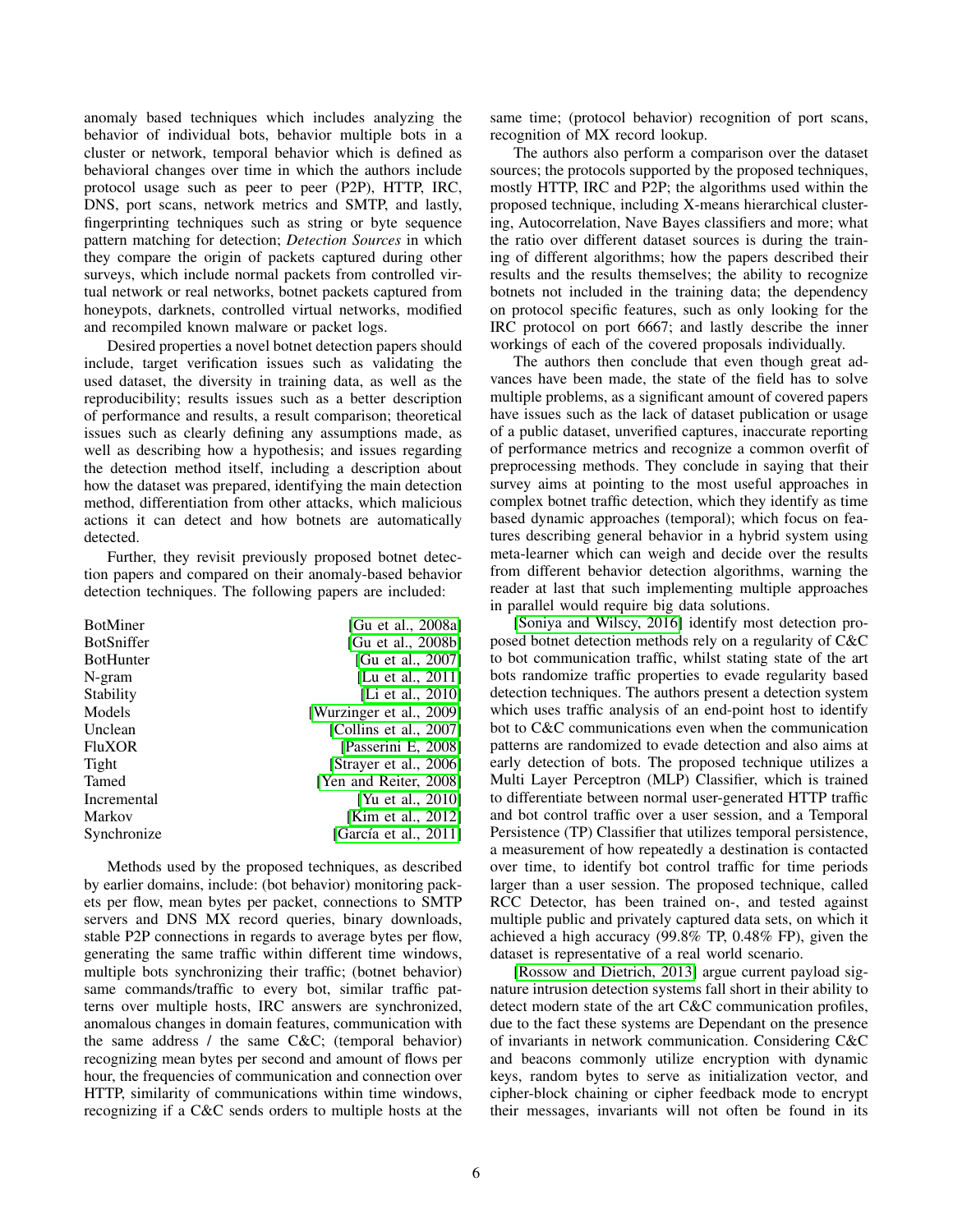anomaly based techniques which includes analyzing the behavior of individual bots, behavior multiple bots in a cluster or network, temporal behavior which is defined as behavioral changes over time in which the authors include protocol usage such as peer to peer (P2P), HTTP, IRC, DNS, port scans, network metrics and SMTP, and lastly, fingerprinting techniques such as string or byte sequence pattern matching for detection; *Detection Sources* in which they compare the origin of packets captured during other surveys, which include normal packets from controlled virtual network or real networks, botnet packets captured from honeypots, darknets, controlled virtual networks, modified and recompiled known malware or packet logs.

Desired properties a novel botnet detection papers should include, target verification issues such as validating the used dataset, the diversity in training data, as well as the reproducibility; results issues such as a better description of performance and results, a result comparison; theoretical issues such as clearly defining any assumptions made, as well as describing how a hypothesis; and issues regarding the detection method itself, including a description about how the dataset was prepared, identifying the main detection method, differentiation from other attacks, which malicious actions it can detect and how botnets are automatically detected.

Further, they revisit previously proposed botnet detection papers and compared on their anomaly-based behavior detection techniques. The following papers are included:

| <b>BotMiner</b>   | [Gu et al., 2008a]        |
|-------------------|---------------------------|
| <b>BotSniffer</b> | [Gu et al., 2008b]        |
| <b>BotHunter</b>  | [Gu et al., 2007]         |
| N-gram            | [Lu et al., 2011]         |
| Stability         | [Li et al., 2010]         |
| Models            | [Wurzinger et al., 2009]  |
| Unclean           | [Collins et al., $2007$ ] |
| <b>FluXOR</b>     | [Passerini E, 2008]       |
| Tight             | [Strayer et al., 2006]    |
| Tamed             | [Yen and Reiter, 2008]    |
| Incremental       | [Yu et al., 2010]         |
| Markov            | [Kim et al., 2012]        |
| Synchronize       | [García et al., 2011]     |

Methods used by the proposed techniques, as described by earlier domains, include: (bot behavior) monitoring packets per flow, mean bytes per packet, connections to SMTP servers and DNS MX record queries, binary downloads, stable P2P connections in regards to average bytes per flow, generating the same traffic within different time windows, multiple bots synchronizing their traffic; (botnet behavior) same commands/traffic to every bot, similar traffic patterns over multiple hosts, IRC answers are synchronized, anomalous changes in domain features, communication with the same address / the same C&C; (temporal behavior) recognizing mean bytes per second and amount of flows per hour, the frequencies of communication and connection over HTTP, similarity of communications within time windows, recognizing if a C&C sends orders to multiple hosts at the same time; (protocol behavior) recognition of port scans, recognition of MX record lookup.

The authors also perform a comparison over the dataset sources; the protocols supported by the proposed techniques, mostly HTTP, IRC and P2P; the algorithms used within the proposed technique, including X-means hierarchical clustering, Autocorrelation, Nave Bayes classifiers and more; what the ratio over different dataset sources is during the training of different algorithms; how the papers described their results and the results themselves; the ability to recognize botnets not included in the training data; the dependency on protocol specific features, such as only looking for the IRC protocol on port 6667; and lastly describe the inner workings of each of the covered proposals individually.

The authors then conclude that even though great advances have been made, the state of the field has to solve multiple problems, as a significant amount of covered papers have issues such as the lack of dataset publication or usage of a public dataset, unverified captures, inaccurate reporting of performance metrics and recognize a common overfit of preprocessing methods. They conclude in saying that their survey aims at pointing to the most useful approaches in complex botnet traffic detection, which they identify as time based dynamic approaches (temporal); which focus on features describing general behavior in a hybrid system using meta-learner which can weigh and decide over the results from different behavior detection algorithms, warning the reader at last that such implementing multiple approaches in parallel would require big data solutions.

[\[Soniya and Wilscy, 2016\]](#page-10-12) identify most detection proposed botnet detection methods rely on a regularity of C&C to bot communication traffic, whilst stating state of the art bots randomize traffic properties to evade regularity based detection techniques. The authors present a detection system which uses traffic analysis of an end-point host to identify bot to C&C communications even when the communication patterns are randomized to evade detection and also aims at early detection of bots. The proposed technique utilizes a Multi Layer Perceptron (MLP) Classifier, which is trained to differentiate between normal user-generated HTTP traffic and bot control traffic over a user session, and a Temporal Persistence (TP) Classifier that utilizes temporal persistence, a measurement of how repeatedly a destination is contacted over time, to identify bot control traffic for time periods larger than a user session. The proposed technique, called RCC Detector, has been trained on-, and tested against multiple public and privately captured data sets, on which it achieved a high accuracy (99.8% TP, 0.48% FP), given the dataset is representative of a real world scenario.

[\[Rossow and Dietrich, 2013\]](#page-10-13) argue current payload signature intrusion detection systems fall short in their ability to detect modern state of the art C&C communication profiles, due to the fact these systems are Dependant on the presence of invariants in network communication. Considering C&C and beacons commonly utilize encryption with dynamic keys, random bytes to serve as initialization vector, and cipher-block chaining or cipher feedback mode to encrypt their messages, invariants will not often be found in its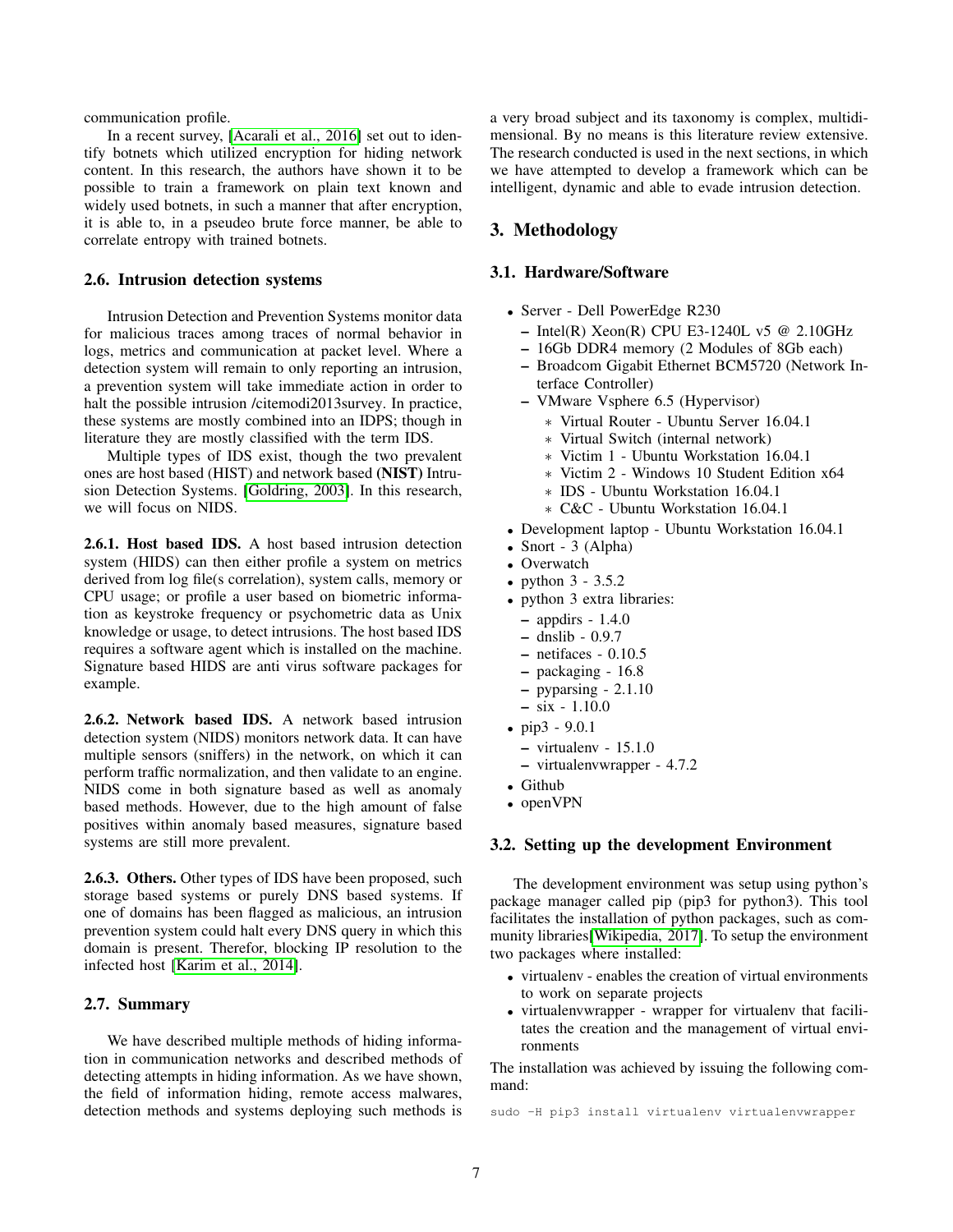communication profile.

In a recent survey, [\[Acarali et al., 2016\]](#page-9-9) set out to identify botnets which utilized encryption for hiding network content. In this research, the authors have shown it to be possible to train a framework on plain text known and widely used botnets, in such a manner that after encryption, it is able to, in a pseudeo brute force manner, be able to correlate entropy with trained botnets.

#### 2.6. Intrusion detection systems

Intrusion Detection and Prevention Systems monitor data for malicious traces among traces of normal behavior in logs, metrics and communication at packet level. Where a detection system will remain to only reporting an intrusion, a prevention system will take immediate action in order to halt the possible intrusion /citemodi2013survey. In practice, these systems are mostly combined into an IDPS; though in literature they are mostly classified with the term IDS.

Multiple types of IDS exist, though the two prevalent ones are host based (HIST) and network based (NIST) Intrusion Detection Systems. [\[Goldring, 2003\]](#page-9-10). In this research, we will focus on NIDS.

2.6.1. Host based IDS. A host based intrusion detection system (HIDS) can then either profile a system on metrics derived from log file(s correlation), system calls, memory or CPU usage; or profile a user based on biometric information as keystroke frequency or psychometric data as Unix knowledge or usage, to detect intrusions. The host based IDS requires a software agent which is installed on the machine. Signature based HIDS are anti virus software packages for example.

2.6.2. Network based IDS. A network based intrusion detection system (NIDS) monitors network data. It can have multiple sensors (sniffers) in the network, on which it can perform traffic normalization, and then validate to an engine. NIDS come in both signature based as well as anomaly based methods. However, due to the high amount of false positives within anomaly based measures, signature based systems are still more prevalent.

2.6.3. Others. Other types of IDS have been proposed, such storage based systems or purely DNS based systems. If one of domains has been flagged as malicious, an intrusion prevention system could halt every DNS query in which this domain is present. Therefor, blocking IP resolution to the infected host [\[Karim et al., 2014\]](#page-9-2).

#### 2.7. Summary

We have described multiple methods of hiding information in communication networks and described methods of detecting attempts in hiding information. As we have shown, the field of information hiding, remote access malwares, detection methods and systems deploying such methods is a very broad subject and its taxonomy is complex, multidimensional. By no means is this literature review extensive. The research conducted is used in the next sections, in which we have attempted to develop a framework which can be intelligent, dynamic and able to evade intrusion detection.

## 3. Methodology

#### 3.1. Hardware/Software

- Server Dell PowerEdge R230
	- $-$  Intel(R) Xeon(R) CPU E3-1240L v5 @ 2.10GHz
	- 16Gb DDR4 memory (2 Modules of 8Gb each)
	- Broadcom Gigabit Ethernet BCM5720 (Network Interface Controller)
	- VMware Vsphere 6.5 (Hypervisor)
		- ∗ Virtual Router Ubuntu Server 16.04.1
		- ∗ Virtual Switch (internal network)
		- ∗ Victim 1 Ubuntu Workstation 16.04.1
		- ∗ Victim 2 Windows 10 Student Edition x64
		- ∗ IDS Ubuntu Workstation 16.04.1
		- ∗ C&C Ubuntu Workstation 16.04.1
- Development laptop Ubuntu Workstation 16.04.1
- Snort 3 (Alpha)
- Overwatch
- python 3 3.5.2
- python 3 extra libraries:
	- appdirs 1.4.0
- dnslib 0.9.7
- $-$  netifaces  $-0.10.5$
- packaging 16.8
- pyparsing 2.1.10
- $-$  six  $-$  1.10.0
- $\bullet$  pip3 9.0.1
	- virtualenv 15.1.0
	- virtualenvwrapper 4.7.2
- Github
- openVPN

#### 3.2. Setting up the development Environment

The development environment was setup using python's package manager called pip (pip3 for python3). This tool facilitates the installation of python packages, such as community libraries[\[Wikipedia, 2017\]](#page-10-14). To setup the environment two packages where installed:

- virtualenv enables the creation of virtual environments to work on separate projects
- virtualenvwrapper wrapper for virtualenv that facilitates the creation and the management of virtual environments

The installation was achieved by issuing the following command:

sudo -H pip3 install virtualenv virtualenvwrapper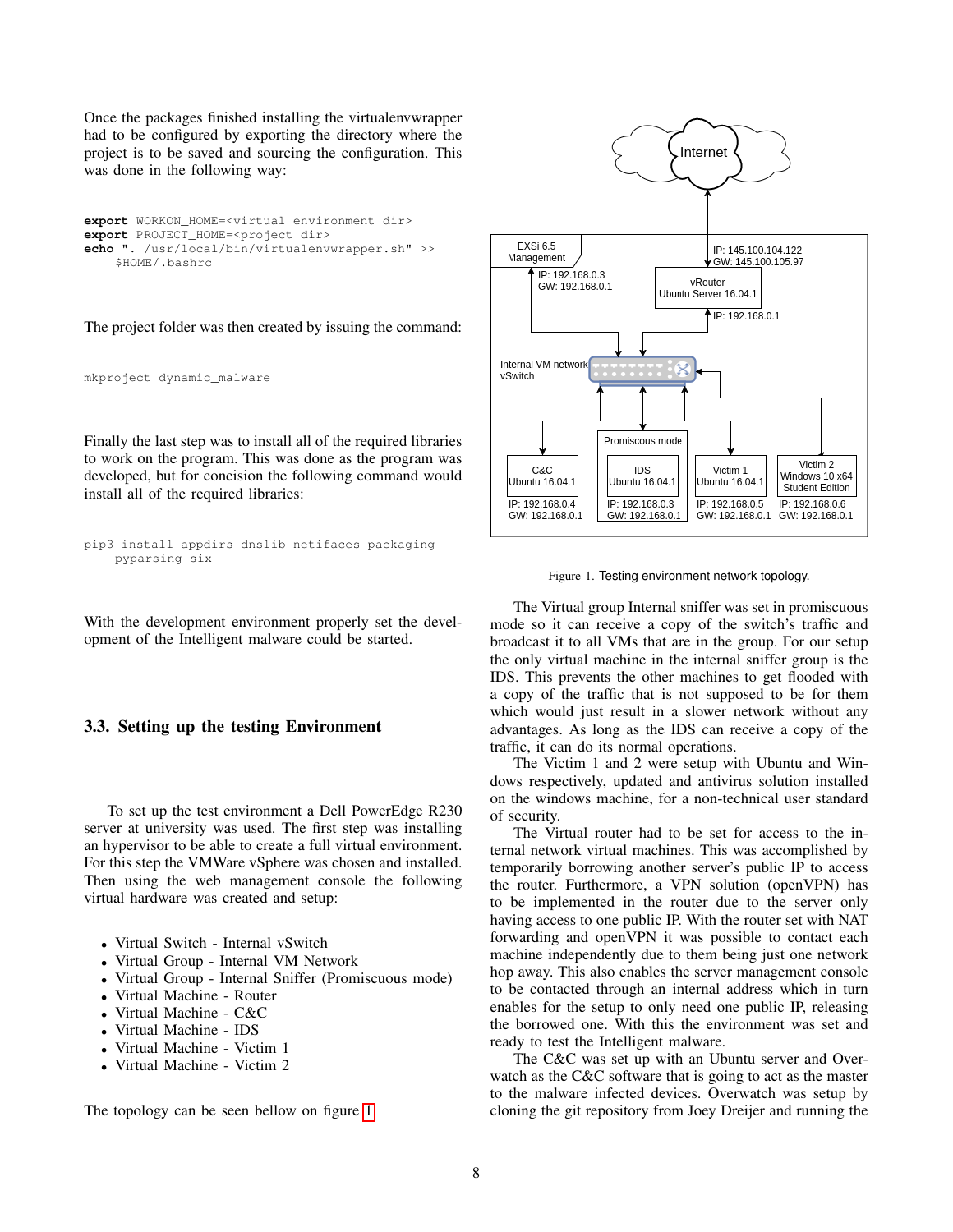Once the packages finished installing the virtualenvwrapper had to be configured by exporting the directory where the project is to be saved and sourcing the configuration. This was done in the following way:

**export** WORKON\_HOME=<virtual environment dir> **export** PROJECT\_HOME=<project dir> **echo** ". /usr/local/bin/virtualenvwrapper.sh" >> \$HOME/.bashrc

The project folder was then created by issuing the command:

```
mkproject dynamic_malware
```
Finally the last step was to install all of the required libraries to work on the program. This was done as the program was developed, but for concision the following command would install all of the required libraries:

pip3 install appdirs dnslib netifaces packaging pyparsing six

With the development environment properly set the development of the Intelligent malware could be started.

#### 3.3. Setting up the testing Environment

To set up the test environment a Dell PowerEdge R230 server at university was used. The first step was installing an hypervisor to be able to create a full virtual environment. For this step the VMWare vSphere was chosen and installed. Then using the web management console the following virtual hardware was created and setup:

- Virtual Switch Internal vSwitch
- Virtual Group Internal VM Network
- Virtual Group Internal Sniffer (Promiscuous mode)
- Virtual Machine Router
- Virtual Machine C&C
- Virtual Machine IDS
- Virtual Machine Victim 1
- Virtual Machine Victim 2

The topology can be seen bellow on figure [1.](#page-7-0)



<span id="page-7-0"></span>Figure 1. Testing environment network topology.

The Virtual group Internal sniffer was set in promiscuous mode so it can receive a copy of the switch's traffic and broadcast it to all VMs that are in the group. For our setup the only virtual machine in the internal sniffer group is the IDS. This prevents the other machines to get flooded with a copy of the traffic that is not supposed to be for them which would just result in a slower network without any advantages. As long as the IDS can receive a copy of the traffic, it can do its normal operations.

The Victim 1 and 2 were setup with Ubuntu and Windows respectively, updated and antivirus solution installed on the windows machine, for a non-technical user standard of security.

The Virtual router had to be set for access to the internal network virtual machines. This was accomplished by temporarily borrowing another server's public IP to access the router. Furthermore, a VPN solution (openVPN) has to be implemented in the router due to the server only having access to one public IP. With the router set with NAT forwarding and openVPN it was possible to contact each machine independently due to them being just one network hop away. This also enables the server management console to be contacted through an internal address which in turn enables for the setup to only need one public IP, releasing the borrowed one. With this the environment was set and ready to test the Intelligent malware.

The C&C was set up with an Ubuntu server and Overwatch as the C&C software that is going to act as the master to the malware infected devices. Overwatch was setup by cloning the git repository from Joey Dreijer and running the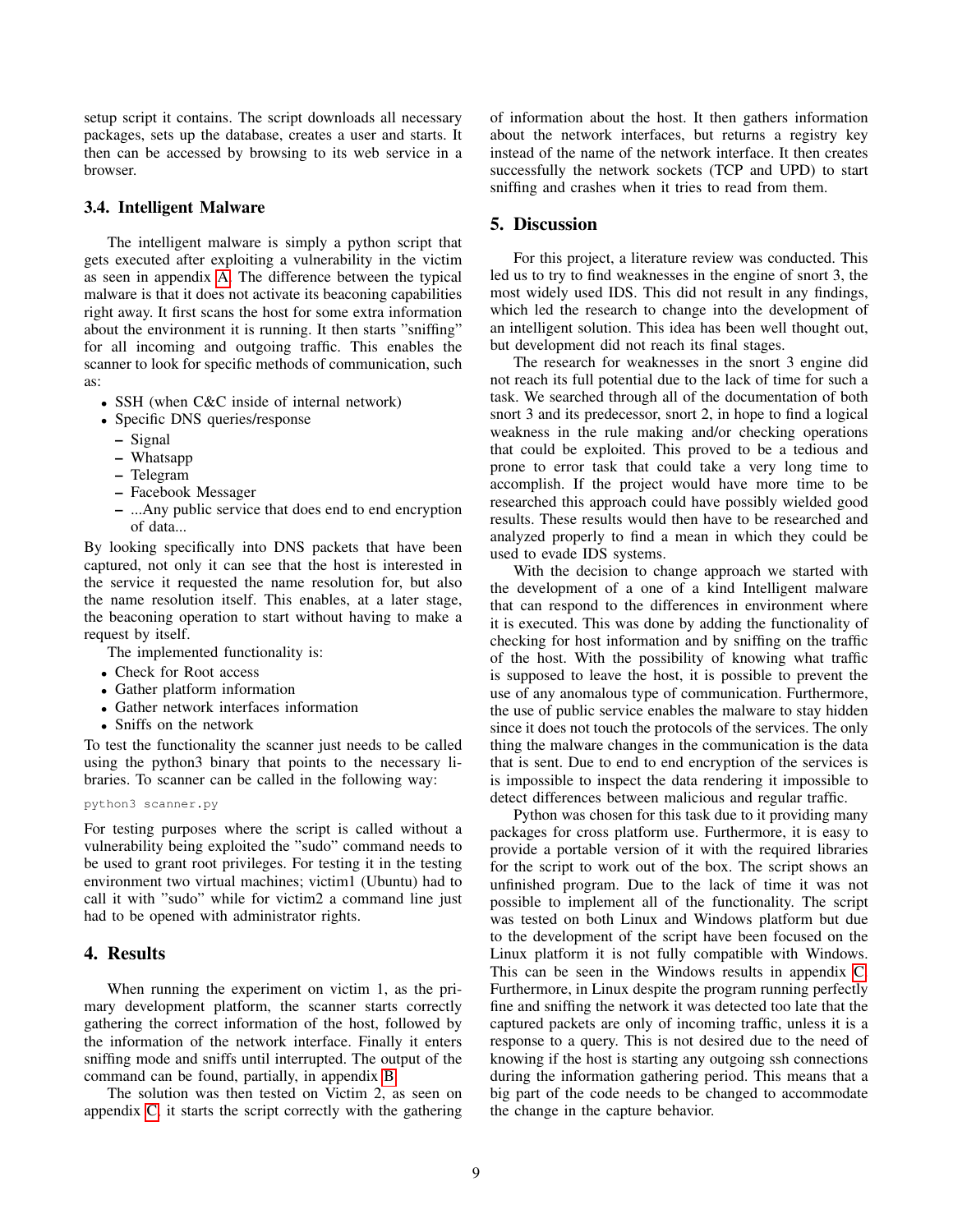setup script it contains. The script downloads all necessary packages, sets up the database, creates a user and starts. It then can be accessed by browsing to its web service in a browser.

#### 3.4. Intelligent Malware

The intelligent malware is simply a python script that gets executed after exploiting a vulnerability in the victim as seen in appendix [A.](#page-11-0) The difference between the typical malware is that it does not activate its beaconing capabilities right away. It first scans the host for some extra information about the environment it is running. It then starts "sniffing" for all incoming and outgoing traffic. This enables the scanner to look for specific methods of communication, such as:

- SSH (when C&C inside of internal network)
- Specific DNS queries/response
	- Signal
	- Whatsapp
	- Telegram
	- Facebook Messager
	- ...Any public service that does end to end encryption of data...

By looking specifically into DNS packets that have been captured, not only it can see that the host is interested in the service it requested the name resolution for, but also the name resolution itself. This enables, at a later stage, the beaconing operation to start without having to make a request by itself.

The implemented functionality is:

- Check for Root access
- Gather platform information
- Gather network interfaces information
- Sniffs on the network

To test the functionality the scanner just needs to be called using the python3 binary that points to the necessary libraries. To scanner can be called in the following way:

python3 scanner.py

For testing purposes where the script is called without a vulnerability being exploited the "sudo" command needs to be used to grant root privileges. For testing it in the testing environment two virtual machines; victim1 (Ubuntu) had to call it with "sudo" while for victim2 a command line just had to be opened with administrator rights.

#### 4. Results

When running the experiment on victim 1, as the primary development platform, the scanner starts correctly gathering the correct information of the host, followed by the information of the network interface. Finally it enters sniffing mode and sniffs until interrupted. The output of the command can be found, partially, in appendix [B.](#page-12-0)

The solution was then tested on Victim 2, as seen on appendix [C,](#page-14-0) it starts the script correctly with the gathering of information about the host. It then gathers information about the network interfaces, but returns a registry key instead of the name of the network interface. It then creates successfully the network sockets (TCP and UPD) to start sniffing and crashes when it tries to read from them.

#### 5. Discussion

For this project, a literature review was conducted. This led us to try to find weaknesses in the engine of snort 3, the most widely used IDS. This did not result in any findings, which led the research to change into the development of an intelligent solution. This idea has been well thought out, but development did not reach its final stages.

The research for weaknesses in the snort 3 engine did not reach its full potential due to the lack of time for such a task. We searched through all of the documentation of both snort 3 and its predecessor, snort 2, in hope to find a logical weakness in the rule making and/or checking operations that could be exploited. This proved to be a tedious and prone to error task that could take a very long time to accomplish. If the project would have more time to be researched this approach could have possibly wielded good results. These results would then have to be researched and analyzed properly to find a mean in which they could be used to evade IDS systems.

With the decision to change approach we started with the development of a one of a kind Intelligent malware that can respond to the differences in environment where it is executed. This was done by adding the functionality of checking for host information and by sniffing on the traffic of the host. With the possibility of knowing what traffic is supposed to leave the host, it is possible to prevent the use of any anomalous type of communication. Furthermore, the use of public service enables the malware to stay hidden since it does not touch the protocols of the services. The only thing the malware changes in the communication is the data that is sent. Due to end to end encryption of the services is is impossible to inspect the data rendering it impossible to detect differences between malicious and regular traffic.

Python was chosen for this task due to it providing many packages for cross platform use. Furthermore, it is easy to provide a portable version of it with the required libraries for the script to work out of the box. The script shows an unfinished program. Due to the lack of time it was not possible to implement all of the functionality. The script was tested on both Linux and Windows platform but due to the development of the script have been focused on the Linux platform it is not fully compatible with Windows. This can be seen in the Windows results in appendix [C.](#page-14-0) Furthermore, in Linux despite the program running perfectly fine and sniffing the network it was detected too late that the captured packets are only of incoming traffic, unless it is a response to a query. This is not desired due to the need of knowing if the host is starting any outgoing ssh connections during the information gathering period. This means that a big part of the code needs to be changed to accommodate the change in the capture behavior.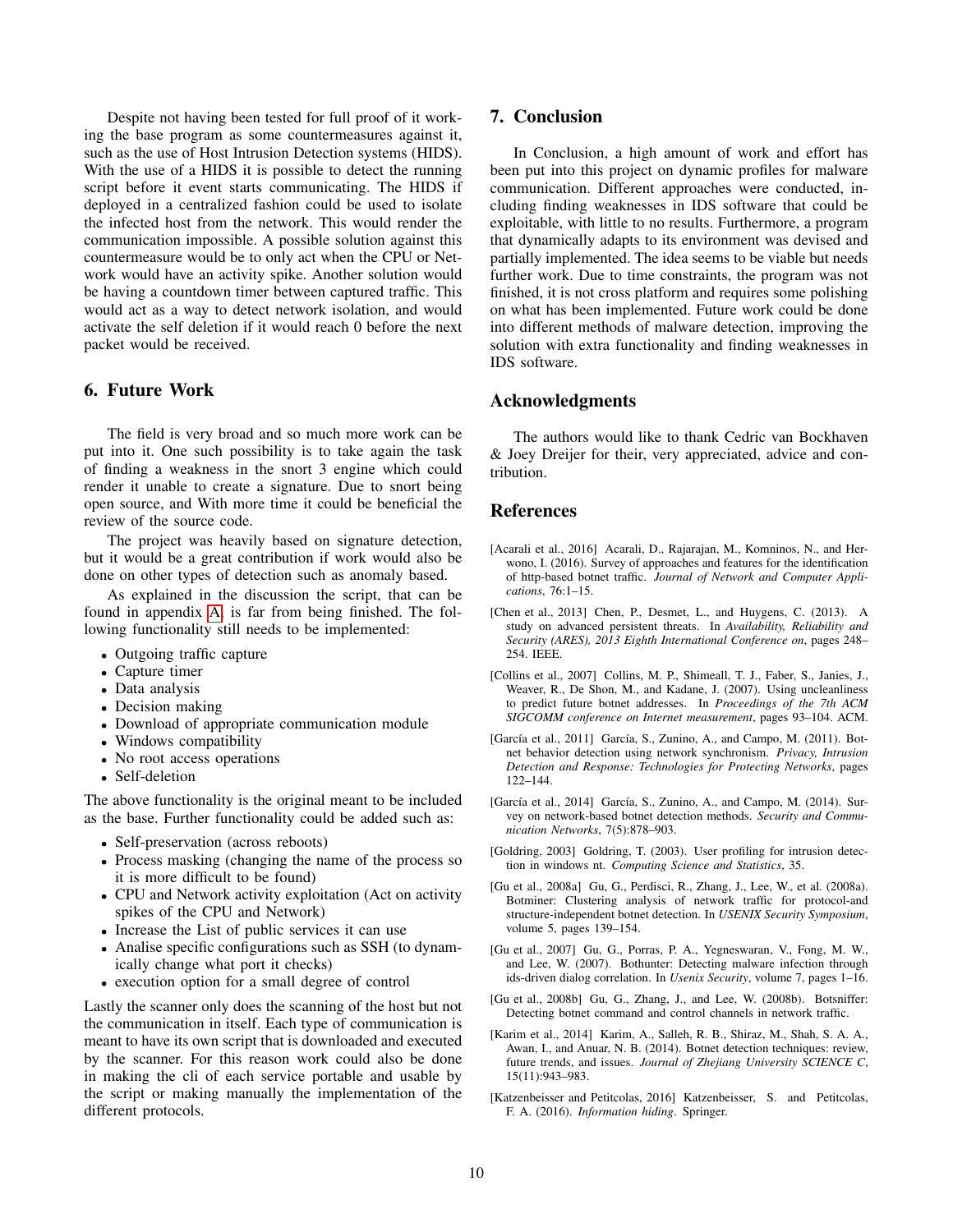Despite not having been tested for full proof of it working the base program as some countermeasures against it, such as the use of Host Intrusion Detection systems (HIDS). With the use of a HIDS it is possible to detect the running script before it event starts communicating. The HIDS if deployed in a centralized fashion could be used to isolate the infected host from the network. This would render the communication impossible. A possible solution against this countermeasure would be to only act when the CPU or Network would have an activity spike. Another solution would be having a countdown timer between captured traffic. This would act as a way to detect network isolation, and would activate the self deletion if it would reach 0 before the next packet would be received.

## 6. Future Work

The field is very broad and so much more work can be put into it. One such possibility is to take again the task of finding a weakness in the snort 3 engine which could render it unable to create a signature. Due to snort being open source, and With more time it could be beneficial the review of the source code.

The project was heavily based on signature detection, but it would be a great contribution if work would also be done on other types of detection such as anomaly based.

As explained in the discussion the script, that can be found in appendix [A,](#page-11-0) is far from being finished. The following functionality still needs to be implemented:

- Outgoing traffic capture
- Capture timer
- Data analysis
- Decision making
- Download of appropriate communication module
- Windows compatibility
- No root access operations
- Self-deletion

The above functionality is the original meant to be included as the base. Further functionality could be added such as:

- Self-preservation (across reboots)
- Process masking (changing the name of the process so it is more difficult to be found)
- CPU and Network activity exploitation (Act on activity spikes of the CPU and Network)
- Increase the List of public services it can use
- Analise specific configurations such as SSH (to dynamically change what port it checks)
- execution option for a small degree of control

Lastly the scanner only does the scanning of the host but not the communication in itself. Each type of communication is meant to have its own script that is downloaded and executed by the scanner. For this reason work could also be done in making the cli of each service portable and usable by the script or making manually the implementation of the different protocols.

#### 7. Conclusion

In Conclusion, a high amount of work and effort has been put into this project on dynamic profiles for malware communication. Different approaches were conducted, including finding weaknesses in IDS software that could be exploitable, with little to no results. Furthermore, a program that dynamically adapts to its environment was devised and partially implemented. The idea seems to be viable but needs further work. Due to time constraints, the program was not finished, it is not cross platform and requires some polishing on what has been implemented. Future work could be done into different methods of malware detection, improving the solution with extra functionality and finding weaknesses in IDS software.

#### Acknowledgments

The authors would like to thank Cedric van Bockhaven & Joey Dreijer for their, very appreciated, advice and contribution.

#### References

- <span id="page-9-9"></span>[Acarali et al., 2016] Acarali, D., Rajarajan, M., Komninos, N., and Herwono, I. (2016). Survey of approaches and features for the identification of http-based botnet traffic. *Journal of Network and Computer Applications*, 76:1–15.
- <span id="page-9-1"></span>[Chen et al., 2013] Chen, P., Desmet, L., and Huygens, C. (2013). A study on advanced persistent threats. In *Availability, Reliability and Security (ARES), 2013 Eighth International Conference on*, pages 248– 254. IEEE.
- <span id="page-9-7"></span>[Collins et al., 2007] Collins, M. P., Shimeall, T. J., Faber, S., Janies, J., Weaver, R., De Shon, M., and Kadane, J. (2007). Using uncleanliness to predict future botnet addresses. In *Proceedings of the 7th ACM SIGCOMM conference on Internet measurement*, pages 93–104. ACM.
- <span id="page-9-8"></span>[García et al., 2011] García, S., Zunino, A., and Campo, M. (2011). Botnet behavior detection using network synchronism. *Privacy, Intrusion Detection and Response: Technologies for Protecting Networks*, pages 122–144.
- <span id="page-9-3"></span>[García et al., 2014] García, S., Zunino, A., and Campo, M. (2014). Survey on network-based botnet detection methods. *Security and Communication Networks*, 7(5):878–903.
- <span id="page-9-10"></span>[Goldring, 2003] Goldring, T. (2003). User profiling for intrusion detection in windows nt. *Computing Science and Statistics*, 35.
- <span id="page-9-4"></span>[Gu et al., 2008a] Gu, G., Perdisci, R., Zhang, J., Lee, W., et al. (2008a). Botminer: Clustering analysis of network traffic for protocol-and structure-independent botnet detection. In *USENIX Security Symposium*, volume 5, pages 139–154.
- <span id="page-9-6"></span>[Gu et al., 2007] Gu, G., Porras, P. A., Yegneswaran, V., Fong, M. W., and Lee, W. (2007). Bothunter: Detecting malware infection through ids-driven dialog correlation. In *Usenix Security*, volume 7, pages 1–16.
- <span id="page-9-5"></span>[Gu et al., 2008b] Gu, G., Zhang, J., and Lee, W. (2008b). Botsniffer: Detecting botnet command and control channels in network traffic.
- <span id="page-9-2"></span>[Karim et al., 2014] Karim, A., Salleh, R. B., Shiraz, M., Shah, S. A. A., Awan, I., and Anuar, N. B. (2014). Botnet detection techniques: review, future trends, and issues. *Journal of Zhejiang University SCIENCE C*, 15(11):943–983.
- <span id="page-9-0"></span>[Katzenbeisser and Petitcolas, 2016] Katzenbeisser, S. and Petitcolas, F. A. (2016). *Information hiding*. Springer.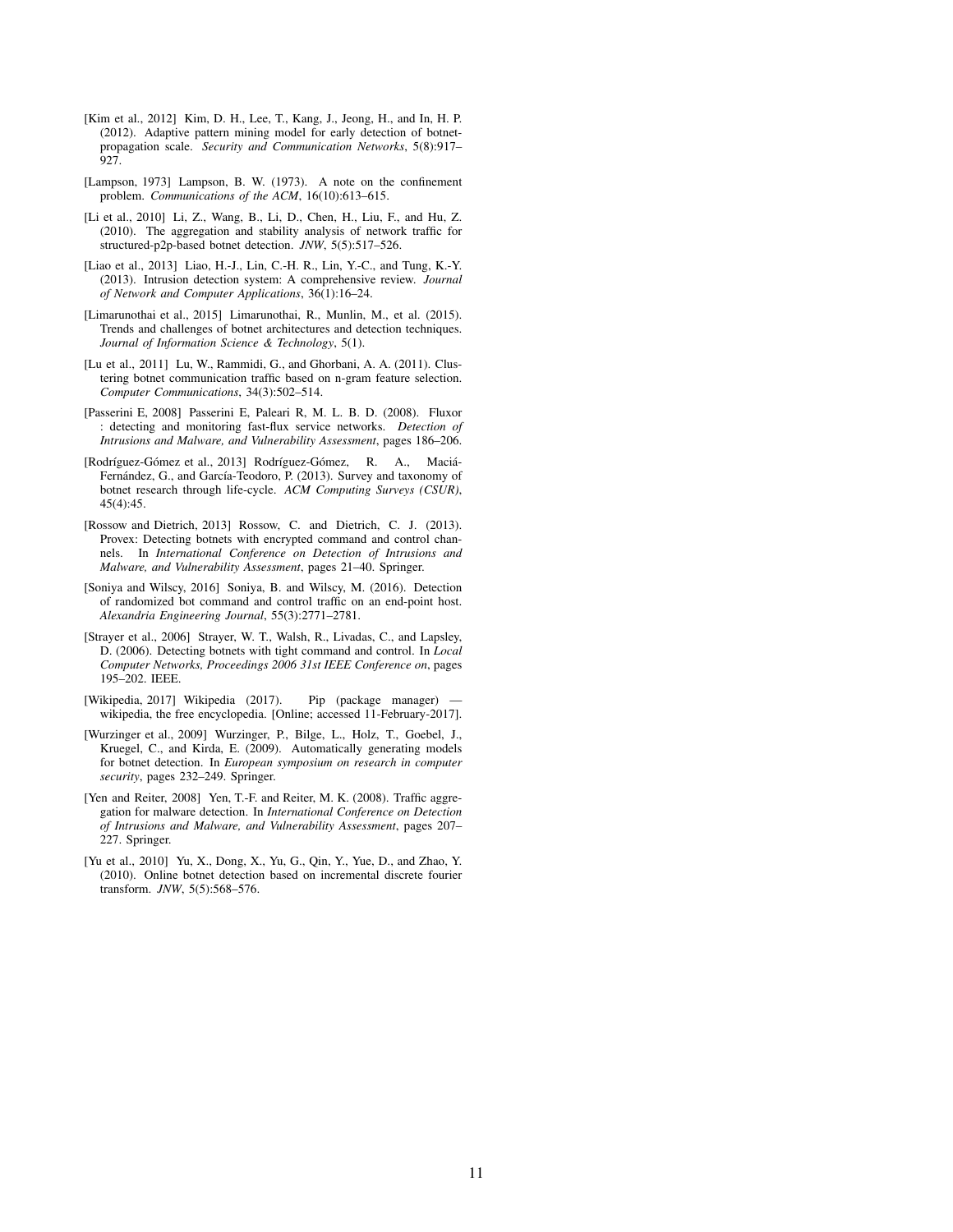- <span id="page-10-11"></span>[Kim et al., 2012] Kim, D. H., Lee, T., Kang, J., Jeong, H., and In, H. P. (2012). Adaptive pattern mining model for early detection of botnetpropagation scale. *Security and Communication Networks*, 5(8):917–  $\hat{9}2\hat{7}$
- <span id="page-10-0"></span>[Lampson, 1973] Lampson, B. W. (1973). A note on the confinement problem. *Communications of the ACM*, 16(10):613–615.
- <span id="page-10-5"></span>[Li et al., 2010] Li, Z., Wang, B., Li, D., Chen, H., Liu, F., and Hu, Z. (2010). The aggregation and stability analysis of network traffic for structured-p2p-based botnet detection. *JNW*, 5(5):517–526.
- <span id="page-10-3"></span>[Liao et al., 2013] Liao, H.-J., Lin, C.-H. R., Lin, Y.-C., and Tung, K.-Y. (2013). Intrusion detection system: A comprehensive review. *Journal of Network and Computer Applications*, 36(1):16–24.
- <span id="page-10-2"></span>[Limarunothai et al., 2015] Limarunothai, R., Munlin, M., et al. (2015). Trends and challenges of botnet architectures and detection techniques. *Journal of Information Science & Technology*, 5(1).
- <span id="page-10-4"></span>[Lu et al., 2011] Lu, W., Rammidi, G., and Ghorbani, A. A. (2011). Clustering botnet communication traffic based on n-gram feature selection. *Computer Communications*, 34(3):502–514.
- <span id="page-10-7"></span>[Passerini E, 2008] Passerini E, Paleari R, M. L. B. D. (2008). Fluxor : detecting and monitoring fast-flux service networks. *Detection of Intrusions and Malware, and Vulnerability Assessment*, pages 186–206.
- <span id="page-10-1"></span>[Rodríguez-Gómez et al., 2013] Rodríguez-Gómez, R. A., Maciá-Fernández, G., and García-Teodoro, P. (2013). Survey and taxonomy of botnet research through life-cycle. *ACM Computing Surveys (CSUR)*, 45(4):45.
- <span id="page-10-13"></span>[Rossow and Dietrich, 2013] Rossow, C. and Dietrich, C. J. (2013). Provex: Detecting botnets with encrypted command and control channels. In *International Conference on Detection of Intrusions and Malware, and Vulnerability Assessment*, pages 21–40. Springer.
- <span id="page-10-12"></span>[Soniya and Wilscy, 2016] Soniya, B. and Wilscy, M. (2016). Detection of randomized bot command and control traffic on an end-point host. *Alexandria Engineering Journal*, 55(3):2771–2781.
- <span id="page-10-8"></span>[Strayer et al., 2006] Strayer, W. T., Walsh, R., Livadas, C., and Lapsley, D. (2006). Detecting botnets with tight command and control. In *Local Computer Networks, Proceedings 2006 31st IEEE Conference on*, pages 195–202. IEEE.
- <span id="page-10-14"></span>[Wikipedia, 2017] Wikipedia (2017). Pip (package manager) wikipedia, the free encyclopedia. [Online; accessed 11-February-2017].
- <span id="page-10-6"></span>[Wurzinger et al., 2009] Wurzinger, P., Bilge, L., Holz, T., Goebel, J., Kruegel, C., and Kirda, E. (2009). Automatically generating models for botnet detection. In *European symposium on research in computer security*, pages 232–249. Springer.
- <span id="page-10-9"></span>[Yen and Reiter, 2008] Yen, T.-F. and Reiter, M. K. (2008). Traffic aggregation for malware detection. In *International Conference on Detection of Intrusions and Malware, and Vulnerability Assessment*, pages 207– 227. Springer.
- <span id="page-10-10"></span>[Yu et al., 2010] Yu, X., Dong, X., Yu, G., Qin, Y., Yue, D., and Zhao, Y. (2010). Online botnet detection based on incremental discrete fourier transform. *JNW*, 5(5):568–576.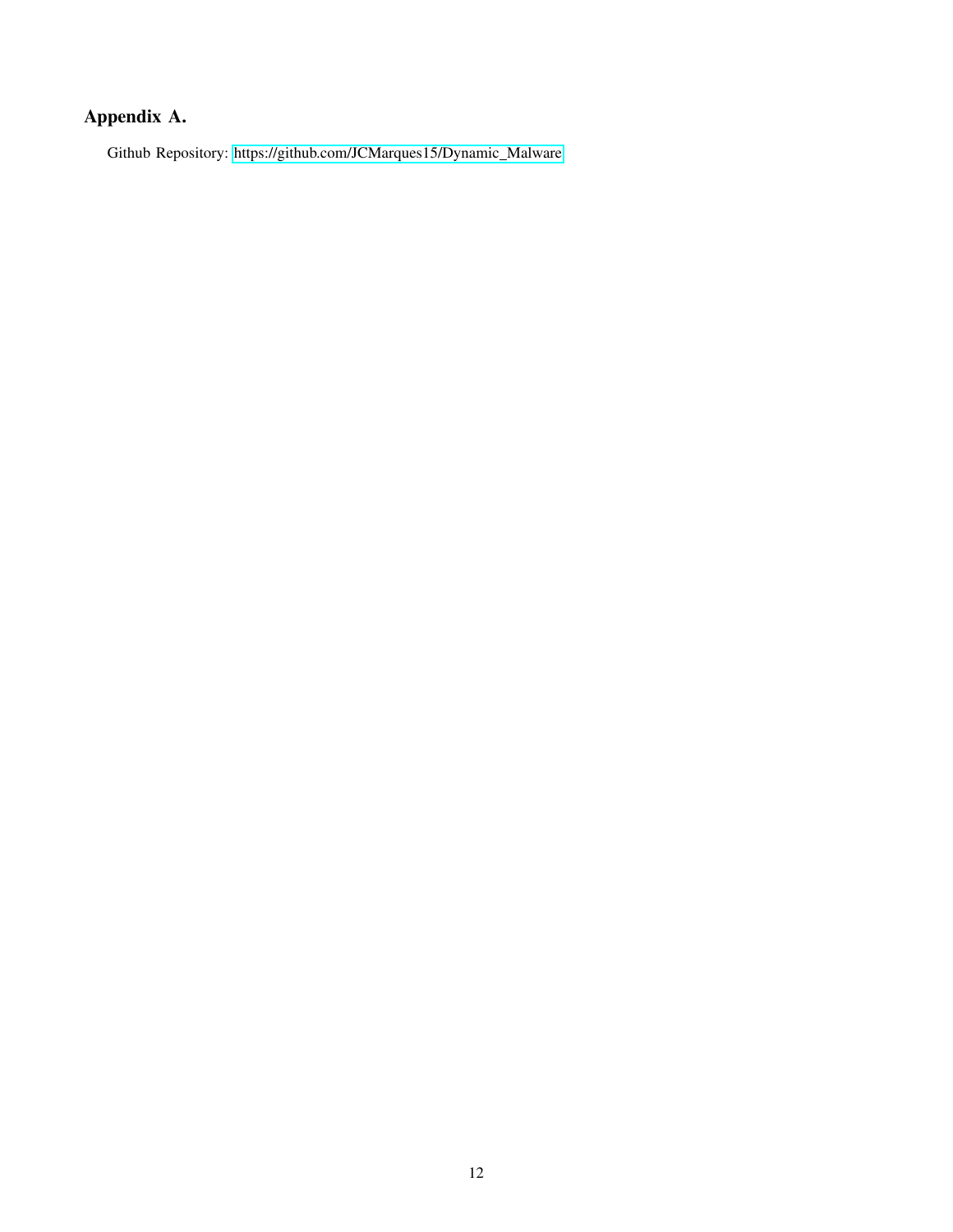# <span id="page-11-0"></span>Appendix A.

Github Repository: [https://github.com/JCMarques15/Dynamic](https://github.com/JCMarques15/Dynamic_Malware)\_Malware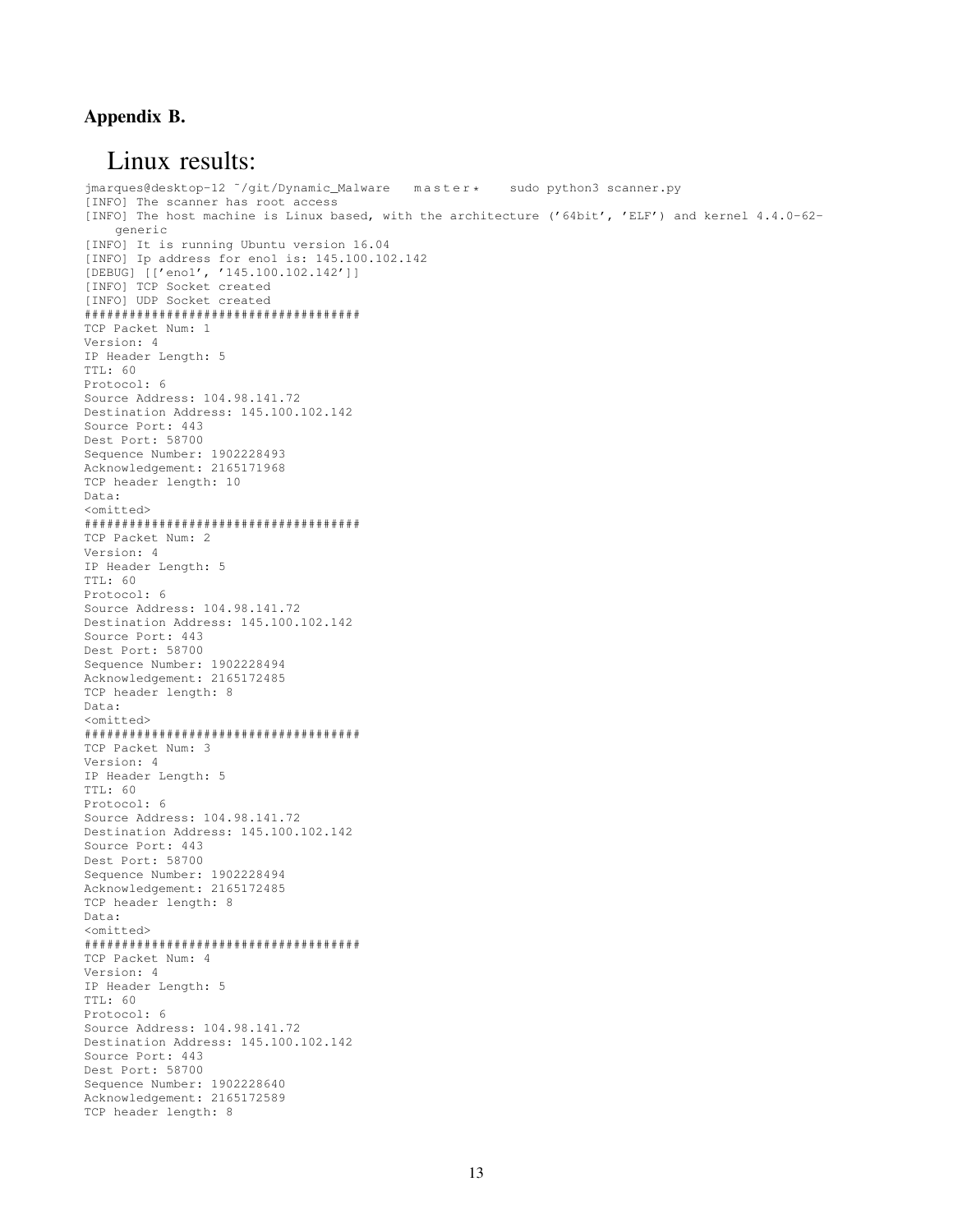## <span id="page-12-0"></span>Appendix B.

## Linux results:

jmarques@desktop-12 ~/git/Dynamic\_Malware master \* sudo python3 scanner.py [INFO] The scanner has root access [INFO] The host machine is Linux based, with the architecture ('64bit', 'ELF') and kernel 4.4.0-62 generic [INFO] It is running Ubuntu version 16.04 [INFO] Ip address for eno1 is: 145.100.102.142 [DEBUG] [['eno1', '145.100.102.142']] [INFO] TCP Socket created [INFO] UDP Socket created ##################################### TCP Packet Num: 1 Version: 4 IP Header Length: 5 TTL: 60 Protocol: 6 Source Address: 104.98.141.72 Destination Address: 145.100.102.142 Source Port: 443 Dest Port: 58700 Sequence Number: 1902228493 Acknowledgement: 2165171968 TCP header length: 10 Data: <omitted> ##################################### TCP Packet Num: 2 Version: 4 IP Header Length: 5 TTL: 60 Protocol: 6 Source Address: 104.98.141.72 Destination Address: 145.100.102.142 Source Port: 443 Dest Port: 58700 Sequence Number: 1902228494 Acknowledgement: 2165172485 TCP header length: 8 Data: <omitted> ##################################### TCP Packet Num: 3 Version: 4 IP Header Length: 5 TTL: 60 Protocol: 6 Source Address: 104.98.141.72 Destination Address: 145.100.102.142 Source Port: 443 Dest Port: 58700 Sequence Number: 1902228494 Acknowledgement: 2165172485 TCP header length: 8 Data: <omitted> ##################################### TCP Packet Num: 4 Version: 4 IP Header Length: 5 TTL: 60 Protocol: 6 Source Address: 104.98.141.72 Destination Address: 145.100.102.142 Source Port: 443 Dest Port: 58700 Sequence Number: 1902228640 Acknowledgement: 2165172589 TCP header length: 8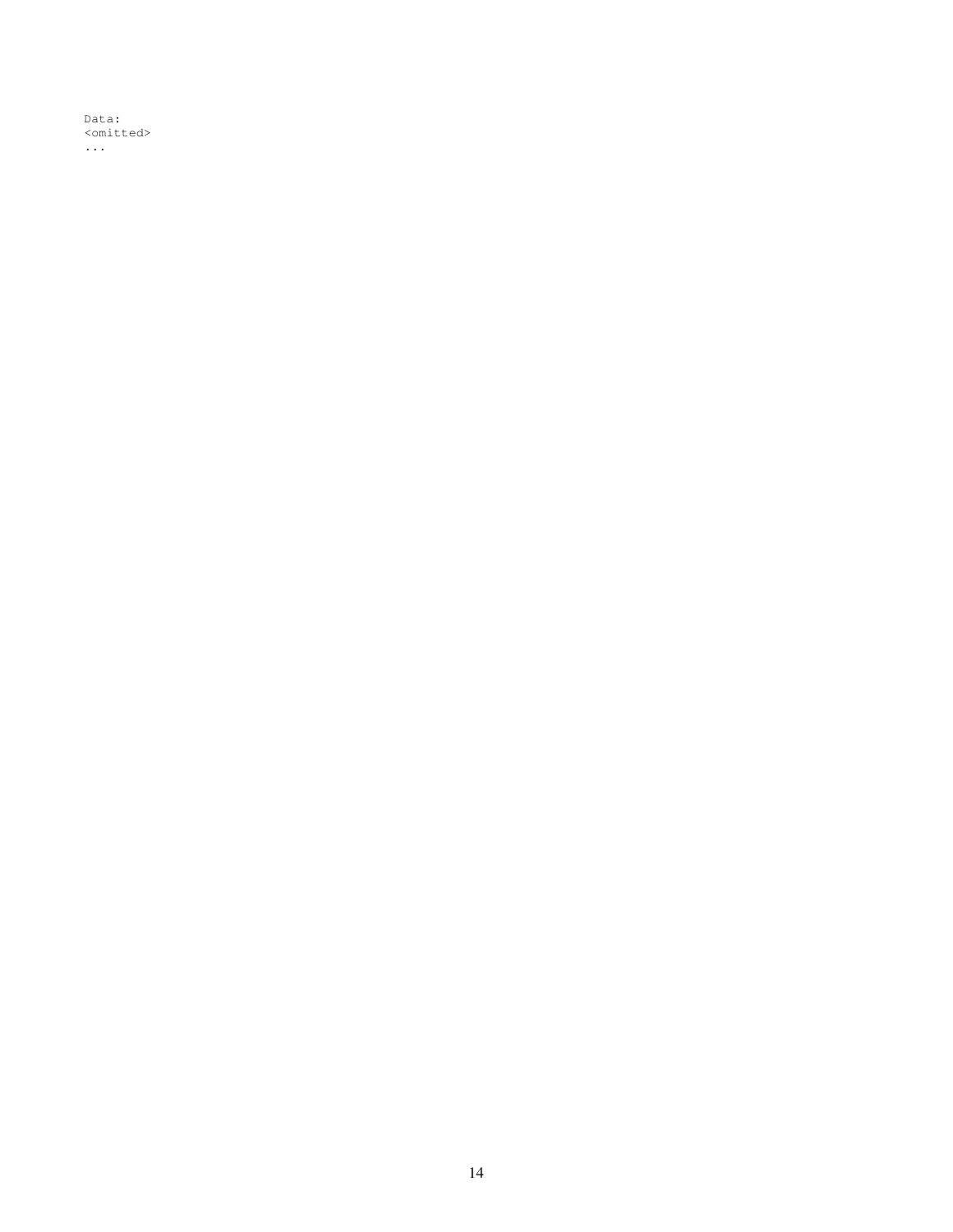Data: <omitted> ...